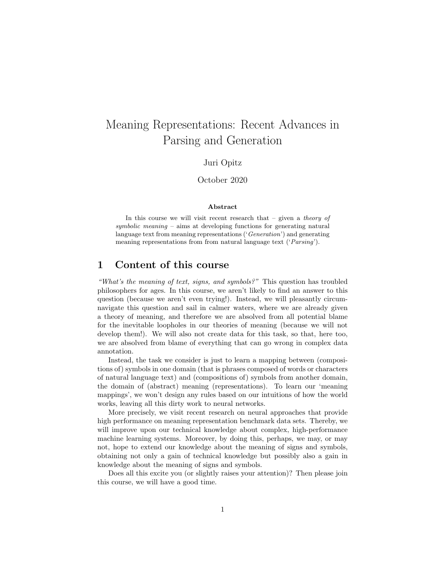# Meaning Representations: Recent Advances in Parsing and Generation

#### Juri Opitz

#### October 2020

#### Abstract

In this course we will visit recent research that  $-$  given a theory of symbolic meaning – aims at developing functions for generating natural language text from meaning representations ('Generation') and generating meaning representations from from natural language text *('Parsing')*.

## 1 Content of this course

"What's the meaning of text, signs, and symbols?" This question has troubled philosophers for ages. In this course, we aren't likely to find an answer to this question (because we aren't even trying!). Instead, we will pleasantly circumnavigate this question and sail in calmer waters, where we are already given a theory of meaning, and therefore we are absolved from all potential blame for the inevitable loopholes in our theories of meaning (because we will not develop them!). We will also not create data for this task, so that, here too, we are absolved from blame of everything that can go wrong in complex data annotation.

Instead, the task we consider is just to learn a mapping between (compositions of) symbols in one domain (that is phrases composed of words or characters of natural language text) and (compositions of) symbols from another domain, the domain of (abstract) meaning (representations). To learn our 'meaning mappings', we won't design any rules based on our intuitions of how the world works, leaving all this dirty work to neural networks.

More precisely, we visit recent research on neural approaches that provide high performance on meaning representation benchmark data sets. Thereby, we will improve upon our technical knowledge about complex, high-performance machine learning systems. Moreover, by doing this, perhaps, we may, or may not, hope to extend our knowledge about the meaning of signs and symbols, obtaining not only a gain of technical knowledge but possibly also a gain in knowledge about the meaning of signs and symbols.

Does all this excite you (or slightly raises your attention)? Then please join this course, we will have a good time.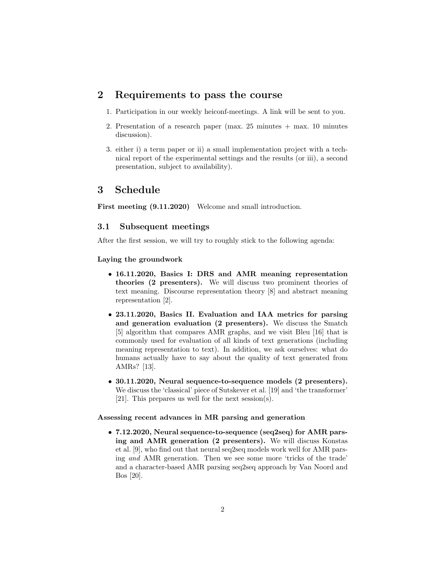### 2 Requirements to pass the course

- 1. Participation in our weekly heiconf-meetings. A link will be sent to you.
- 2. Presentation of a research paper (max. 25 minutes + max. 10 minutes discussion).
- 3. either i) a term paper or ii) a small implementation project with a technical report of the experimental settings and the results (or iii), a second presentation, subject to availability).

## 3 Schedule

First meeting  $(9.11.2020)$  Welcome and small introduction.

#### 3.1 Subsequent meetings

After the first session, we will try to roughly stick to the following agenda:

#### Laying the groundwork

- 16.11.2020, Basics I: DRS and AMR meaning representation theories (2 presenters). We will discuss two prominent theories of text meaning. Discourse representation theory [8] and abstract meaning representation [2].
- 23.11.2020, Basics II. Evaluation and IAA metrics for parsing and generation evaluation (2 presenters). We discuss the Smatch [5] algorithm that compares AMR graphs, and we visit Bleu [16] that is commonly used for evaluation of all kinds of text generations (including meaning representation to text). In addition, we ask ourselves: what do humans actually have to say about the quality of text generated from AMRs? [13].
- 30.11.2020, Neural sequence-to-sequence models (2 presenters). We discuss the 'classical' piece of Sutskever et al. [19] and 'the transformer' [21]. This prepares us well for the next session(s).

#### Assessing recent advances in MR parsing and generation

• 7.12.2020, Neural sequence-to-sequence (seq2seq) for AMR parsing and AMR generation (2 presenters). We will discuss Konstas et al. [9], who find out that neural seq2seq models work well for AMR parsing and AMR generation. Then we see some more 'tricks of the trade' and a character-based AMR parsing seq2seq approach by Van Noord and Bos [20].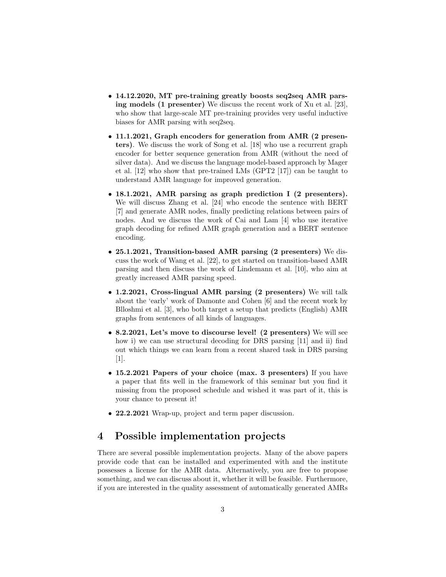- 14.12.2020, MT pre-training greatly boosts seq2seq AMR parsing models (1 presenter) We discuss the recent work of Xu et al. [23], who show that large-scale MT pre-training provides very useful inductive biases for AMR parsing with seq2seq.
- 11.1.2021, Graph encoders for generation from AMR (2 presenters). We discuss the work of Song et al. [18] who use a recurrent graph encoder for better sequence generation from AMR (without the need of silver data). And we discuss the language model-based approach by Mager et al. [12] who show that pre-trained LMs (GPT2 [17]) can be taught to understand AMR language for improved generation.
- 18.1.2021, AMR parsing as graph prediction I (2 presenters). We will discuss Zhang et al. [24] who encode the sentence with BERT [7] and generate AMR nodes, finally predicting relations between pairs of nodes. And we discuss the work of Cai and Lam [4] who use iterative graph decoding for refined AMR graph generation and a BERT sentence encoding.
- 25.1.2021, Transition-based AMR parsing (2 presenters) We discuss the work of Wang et al. [22], to get started on transition-based AMR parsing and then discuss the work of Lindemann et al. [10], who aim at greatly increased AMR parsing speed.
- 1.2.2021, Cross-lingual AMR parsing (2 presenters) We will talk about the 'early' work of Damonte and Cohen [6] and the recent work by Blloshmi et al. [3], who both target a setup that predicts (English) AMR graphs from sentences of all kinds of languages.
- 8.2.2021, Let's move to discourse level! (2 presenters) We will see how i) we can use structural decoding for DRS parsing [11] and ii) find out which things we can learn from a recent shared task in DRS parsing [1].
- 15.2.2021 Papers of your choice (max. 3 presenters) If you have a paper that fits well in the framework of this seminar but you find it missing from the proposed schedule and wished it was part of it, this is your chance to present it!
- 22.2.2021 Wrap-up, project and term paper discussion.

# 4 Possible implementation projects

There are several possible implementation projects. Many of the above papers provide code that can be installed and experimented with and the institute possesses a license for the AMR data. Alternatively, you are free to propose something, and we can discuss about it, whether it will be feasible. Furthermore, if you are interested in the quality assessment of automatically generated AMRs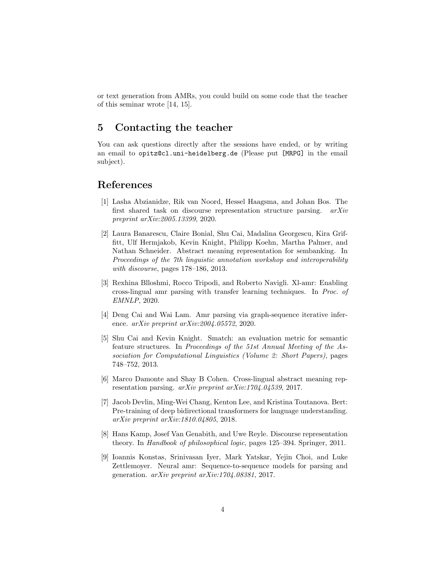or text generation from AMRs, you could build on some code that the teacher of this seminar wrote [14, 15].

# 5 Contacting the teacher

You can ask questions directly after the sessions have ended, or by writing an email to opitz@cl.uni-heidelberg.de (Please put [MRPG] in the email subject).

## References

- [1] Lasha Abzianidze, Rik van Noord, Hessel Haagsma, and Johan Bos. The first shared task on discourse representation structure parsing. arXiv preprint arXiv:2005.13399, 2020.
- [2] Laura Banarescu, Claire Bonial, Shu Cai, Madalina Georgescu, Kira Griffitt, Ulf Hermjakob, Kevin Knight, Philipp Koehn, Martha Palmer, and Nathan Schneider. Abstract meaning representation for sembanking. In Proceedings of the 7th linguistic annotation workshop and interoperability with discourse, pages 178–186, 2013.
- [3] Rexhina Blloshmi, Rocco Tripodi, and Roberto Navigli. Xl-amr: Enabling cross-lingual amr parsing with transfer learning techniques. In Proc. of EMNLP, 2020.
- [4] Deng Cai and Wai Lam. Amr parsing via graph-sequence iterative inference. arXiv preprint arXiv:2004.05572, 2020.
- [5] Shu Cai and Kevin Knight. Smatch: an evaluation metric for semantic feature structures. In Proceedings of the 51st Annual Meeting of the Association for Computational Linguistics (Volume 2: Short Papers), pages 748–752, 2013.
- [6] Marco Damonte and Shay B Cohen. Cross-lingual abstract meaning representation parsing. arXiv preprint arXiv:1704.04539, 2017.
- [7] Jacob Devlin, Ming-Wei Chang, Kenton Lee, and Kristina Toutanova. Bert: Pre-training of deep bidirectional transformers for language understanding. arXiv preprint arXiv:1810.04805, 2018.
- [8] Hans Kamp, Josef Van Genabith, and Uwe Reyle. Discourse representation theory. In Handbook of philosophical logic, pages 125–394. Springer, 2011.
- [9] Ioannis Konstas, Srinivasan Iyer, Mark Yatskar, Yejin Choi, and Luke Zettlemoyer. Neural amr: Sequence-to-sequence models for parsing and generation.  $arXiv$  preprint  $arXiv:1704.08381$ , 2017.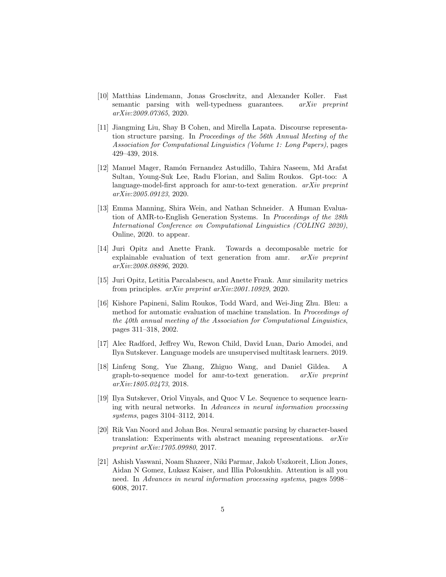- [10] Matthias Lindemann, Jonas Groschwitz, and Alexander Koller. Fast semantic parsing with well-typedness guarantees. arXiv preprint arXiv:2009.07365, 2020.
- [11] Jiangming Liu, Shay B Cohen, and Mirella Lapata. Discourse representation structure parsing. In Proceedings of the 56th Annual Meeting of the Association for Computational Linguistics (Volume 1: Long Papers), pages 429–439, 2018.
- [12] Manuel Mager, Ramón Fernandez Astudillo, Tahira Naseem, Md Arafat Sultan, Young-Suk Lee, Radu Florian, and Salim Roukos. Gpt-too: A language-model-first approach for amr-to-text generation.  $arXiv$  preprint arXiv:2005.09123, 2020.
- [13] Emma Manning, Shira Wein, and Nathan Schneider. A Human Evaluation of AMR-to-English Generation Systems. In Proceedings of the 28th International Conference on Computational Linguistics (COLING 2020), Online, 2020. to appear.
- [14] Juri Opitz and Anette Frank. Towards a decomposable metric for explainable evaluation of text generation from amr. arXiv preprint arXiv:2008.08896, 2020.
- [15] Juri Opitz, Letitia Parcalabescu, and Anette Frank. Amr similarity metrics from principles. arXiv preprint arXiv:2001.10929, 2020.
- [16] Kishore Papineni, Salim Roukos, Todd Ward, and Wei-Jing Zhu. Bleu: a method for automatic evaluation of machine translation. In Proceedings of the 40th annual meeting of the Association for Computational Linguistics, pages 311–318, 2002.
- [17] Alec Radford, Jeffrey Wu, Rewon Child, David Luan, Dario Amodei, and Ilya Sutskever. Language models are unsupervised multitask learners. 2019.
- [18] Linfeng Song, Yue Zhang, Zhiguo Wang, and Daniel Gildea. A graph-to-sequence model for amr-to-text generation. arXiv preprint arXiv:1805.02473, 2018.
- [19] Ilya Sutskever, Oriol Vinyals, and Quoc V Le. Sequence to sequence learning with neural networks. In Advances in neural information processing systems, pages 3104–3112, 2014.
- [20] Rik Van Noord and Johan Bos. Neural semantic parsing by character-based translation: Experiments with abstract meaning representations. arXiv preprint arXiv:1705.09980, 2017.
- [21] Ashish Vaswani, Noam Shazeer, Niki Parmar, Jakob Uszkoreit, Llion Jones, Aidan N Gomez, Lukasz Kaiser, and Illia Polosukhin. Attention is all you need. In Advances in neural information processing systems, pages 5998– 6008, 2017.